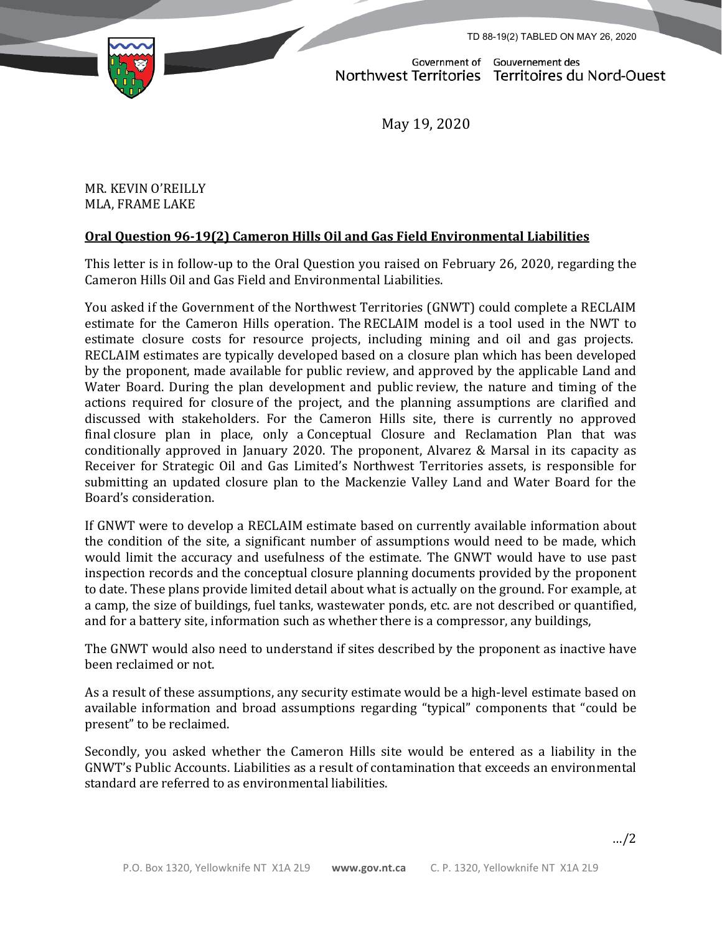TD 88-19(2) TABLED ON MAY 26, 2020



Government of Gouvernement des Northwest Territories Territoires du Nord-Ouest

May 19, 2020

MR. KEVIN O'REILLY MLA, FRAME LAKE

## **Oral Question 96-19(2) Cameron Hills Oil and Gas Field Environmental Liabilities**

This letter is in follow-up to the Oral Question you raised on February 26, 2020, regarding the Cameron Hills Oil and Gas Field and Environmental Liabilities.

You asked if the Government of the Northwest Territories (GNWT) could complete a RECLAIM estimate for the Cameron Hills operation. The RECLAIM model is a tool used in the NWT to estimate closure costs for resource projects, including mining and oil and gas projects. RECLAIM estimates are typically developed based on a closure plan which has been developed by the proponent, made available for public review, and approved by the applicable Land and Water Board. During the plan development and public review, the nature and timing of the actions required for closure of the project, and the planning assumptions are clarified and discussed with stakeholders. For the Cameron Hills site, there is currently no approved final closure plan in place, only a Conceptual Closure and Reclamation Plan that was conditionally approved in January 2020. The proponent, Alvarez & Marsal in its capacity as Receiver for Strategic Oil and Gas Limited's Northwest Territories assets, is responsible for submitting an updated closure plan to the Mackenzie Valley Land and Water Board for the Board's consideration.

If GNWT were to develop a RECLAIM estimate based on currently available information about the condition of the site, a significant number of assumptions would need to be made, which would limit the accuracy and usefulness of the estimate. The GNWT would have to use past inspection records and the conceptual closure planning documents provided by the proponent to date. These plans provide limited detail about what is actually on the ground. For example, at a camp, the size of buildings, fuel tanks, wastewater ponds, etc. are not described or quantified, and for a battery site, information such as whether there is a compressor, any buildings,

The GNWT would also need to understand if sites described by the proponent as inactive have been reclaimed or not.

As a result of these assumptions, any security estimate would be a high-level estimate based on available information and broad assumptions regarding "typical" components that "could be present" to be reclaimed.

Secondly, you asked whether the Cameron Hills site would be entered as a liability in the GNWT's Public Accounts. Liabilities as a result of contamination that exceeds an environmental standard are referred to as environmental liabilities.